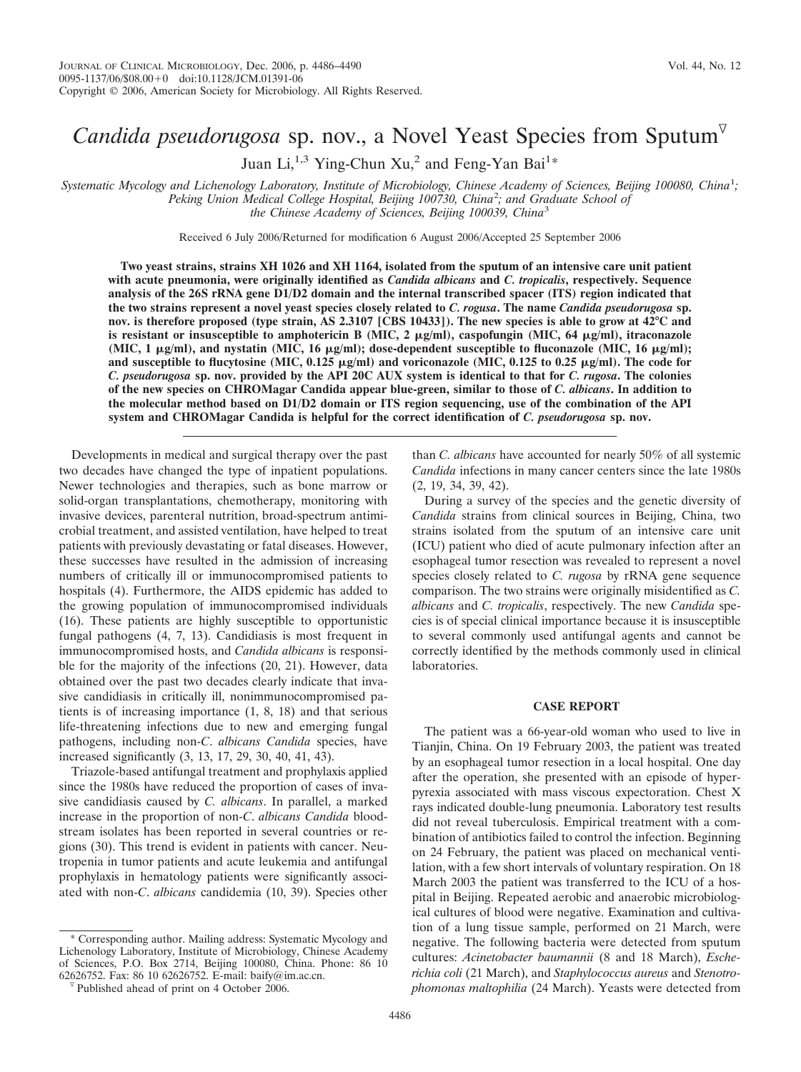# *Candida pseudorugosa* sp. nov., a Novel Yeast Species from Sputum<sup> $\nabla$ </sup>

Juan Li,  $^{1,3}$  Ying-Chun Xu, $^2$  and Feng-Yan Bai<sup>1\*</sup>

*Systematic Mycology and Lichenology Laboratory, Institute of Microbiology, Chinese Academy of Sciences, Beijing 100080, China*<sup>1</sup> *; Peking Union Medical College Hospital, Beijing 100730, China*<sup>2</sup> *; and Graduate School of the Chinese Academy of Sciences, Beijing 100039, China*<sup>3</sup>

Received 6 July 2006/Returned for modification 6 August 2006/Accepted 25 September 2006

**Two yeast strains, strains XH 1026 and XH 1164, isolated from the sputum of an intensive care unit patient with acute pneumonia, were originally identified as** *Candida albicans* **and** *C. tropicalis***, respectively. Sequence analysis of the 26S rRNA gene D1/D2 domain and the internal transcribed spacer (ITS) region indicated that the two strains represent a novel yeast species closely related to** *C. rogusa***. The name** *Candida pseudorugosa* **sp. nov. is therefore proposed (type strain, AS 2.3107 [CBS 10433]). The new species is able to grow at 42°C and** is resistant or insusceptible to amphotericin B (MIC,  $2 \mu g/ml$ ), caspofungin (MIC,  $64 \mu g/ml$ ), itraconazole (MIC, 1 μg/ml), and nystatin (MIC, 16 μg/ml); dose-dependent susceptible to fluconazole (MIC, 16 μg/ml); and susceptible to flucytosine (MIC,  $0.125 \mu g/ml$ ) and voriconazole (MIC,  $0.125$  to  $0.25 \mu g/ml$ ). The code for *C. pseudorugosa* **sp. nov. provided by the API 20C AUX system is identical to that for** *C. rugosa***. The colonies of the new species on CHROMagar Candida appear blue-green, similar to those of** *C. albicans***. In addition to the molecular method based on D1/D2 domain or ITS region sequencing, use of the combination of the API system and CHROMagar Candida is helpful for the correct identification of** *C. pseudorugosa* **sp. nov.**

Developments in medical and surgical therapy over the past two decades have changed the type of inpatient populations. Newer technologies and therapies, such as bone marrow or solid-organ transplantations, chemotherapy, monitoring with invasive devices, parenteral nutrition, broad-spectrum antimicrobial treatment, and assisted ventilation, have helped to treat patients with previously devastating or fatal diseases. However, these successes have resulted in the admission of increasing numbers of critically ill or immunocompromised patients to hospitals (4). Furthermore, the AIDS epidemic has added to the growing population of immunocompromised individuals (16). These patients are highly susceptible to opportunistic fungal pathogens (4, 7, 13). Candidiasis is most frequent in immunocompromised hosts, and *Candida albicans* is responsible for the majority of the infections (20, 21). However, data obtained over the past two decades clearly indicate that invasive candidiasis in critically ill, nonimmunocompromised patients is of increasing importance (1, 8, 18) and that serious life-threatening infections due to new and emerging fungal pathogens, including non-*C*. *albicans Candida* species, have increased significantly (3, 13, 17, 29, 30, 40, 41, 43).

Triazole-based antifungal treatment and prophylaxis applied since the 1980s have reduced the proportion of cases of invasive candidiasis caused by *C. albicans*. In parallel, a marked increase in the proportion of non-*C*. *albicans Candida* bloodstream isolates has been reported in several countries or regions (30). This trend is evident in patients with cancer. Neutropenia in tumor patients and acute leukemia and antifungal prophylaxis in hematology patients were significantly associated with non-*C*. *albicans* candidemia (10, 39). Species other

\* Corresponding author. Mailing address: Systematic Mycology and Lichenology Laboratory, Institute of Microbiology, Chinese Academy of Sciences, P.O. Box 2714, Beijing 100080, China. Phone: 86 10 62626752. Fax: 86 10 62626752. E-mail: baify@im.ac.cn.  $\sqrt[6]{}$  Published ahead of print on 4 October 2006.

than *C. albicans* have accounted for nearly 50% of all systemic *Candida* infections in many cancer centers since the late 1980s (2, 19, 34, 39, 42).

During a survey of the species and the genetic diversity of *Candida* strains from clinical sources in Beijing, China, two strains isolated from the sputum of an intensive care unit (ICU) patient who died of acute pulmonary infection after an esophageal tumor resection was revealed to represent a novel species closely related to *C. rugosa* by rRNA gene sequence comparison. The two strains were originally misidentified as *C. albicans* and *C. tropicalis*, respectively. The new *Candida* species is of special clinical importance because it is insusceptible to several commonly used antifungal agents and cannot be correctly identified by the methods commonly used in clinical laboratories.

# **CASE REPORT**

The patient was a 66-year-old woman who used to live in Tianjin, China. On 19 February 2003, the patient was treated by an esophageal tumor resection in a local hospital. One day after the operation, she presented with an episode of hyperpyrexia associated with mass viscous expectoration. Chest X rays indicated double-lung pneumonia. Laboratory test results did not reveal tuberculosis. Empirical treatment with a combination of antibiotics failed to control the infection. Beginning on 24 February, the patient was placed on mechanical ventilation, with a few short intervals of voluntary respiration. On 18 March 2003 the patient was transferred to the ICU of a hospital in Beijing. Repeated aerobic and anaerobic microbiological cultures of blood were negative. Examination and cultivation of a lung tissue sample, performed on 21 March, were negative. The following bacteria were detected from sputum cultures: *Acinetobacter baumannii* (8 and 18 March), *Escherichia coli* (21 March), and *Staphylococcus aureus* and *Stenotrophomonas maltophilia* (24 March). Yeasts were detected from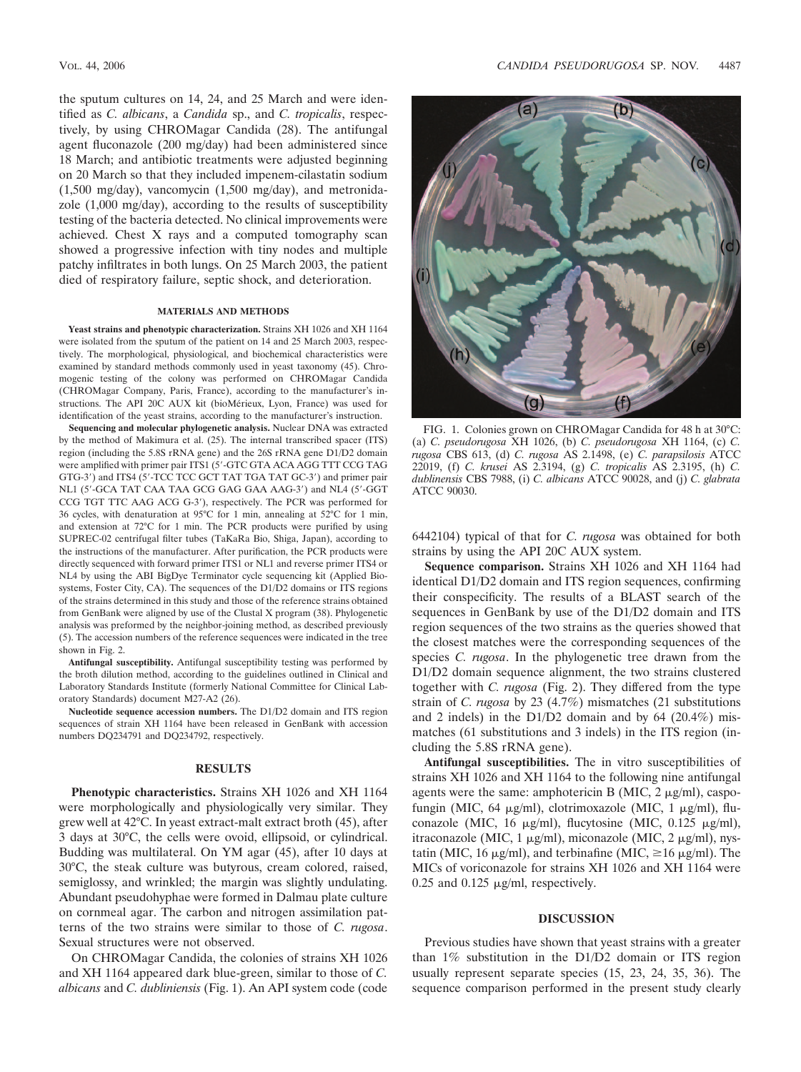the sputum cultures on 14, 24, and 25 March and were identified as *C. albicans*, a *Candida* sp., and *C. tropicalis*, respectively, by using CHROMagar Candida (28). The antifungal agent fluconazole (200 mg/day) had been administered since 18 March; and antibiotic treatments were adjusted beginning on 20 March so that they included impenem-cilastatin sodium (1,500 mg/day), vancomycin (1,500 mg/day), and metronidazole (1,000 mg/day), according to the results of susceptibility testing of the bacteria detected. No clinical improvements were achieved. Chest X rays and a computed tomography scan showed a progressive infection with tiny nodes and multiple patchy infiltrates in both lungs. On 25 March 2003, the patient died of respiratory failure, septic shock, and deterioration.

# **MATERIALS AND METHODS**

**Yeast strains and phenotypic characterization.** Strains XH 1026 and XH 1164 were isolated from the sputum of the patient on 14 and 25 March 2003, respectively. The morphological, physiological, and biochemical characteristics were examined by standard methods commonly used in yeast taxonomy (45). Chromogenic testing of the colony was performed on CHROMagar Candida (CHROMagar Company, Paris, France), according to the manufacturer's instructions. The API 20C AUX kit (bioMérieux, Lyon, France) was used for identification of the yeast strains, according to the manufacturer's instruction.

**Sequencing and molecular phylogenetic analysis.** Nuclear DNA was extracted by the method of Makimura et al. (25). The internal transcribed spacer (ITS) region (including the 5.8S rRNA gene) and the 26S rRNA gene D1/D2 domain were amplified with primer pair ITS1 (5"-GTC GTA ACA AGG TTT CCG TAG GTG-3") and ITS4 (5"-TCC TCC GCT TAT TGA TAT GC-3") and primer pair NL1 (5'-GCA TAT CAA TAA GCG GAG GAA AAG-3') and NL4 (5'-GGT CCG TGT TTC AAG ACG G-3"), respectively. The PCR was performed for 36 cycles, with denaturation at 95°C for 1 min, annealing at 52°C for 1 min, and extension at 72°C for 1 min. The PCR products were purified by using SUPREC-02 centrifugal filter tubes (TaKaRa Bio, Shiga, Japan), according to the instructions of the manufacturer. After purification, the PCR products were directly sequenced with forward primer ITS1 or NL1 and reverse primer ITS4 or NL4 by using the ABI BigDye Terminator cycle sequencing kit (Applied Biosystems, Foster City, CA). The sequences of the D1/D2 domains or ITS regions of the strains determined in this study and those of the reference strains obtained from GenBank were aligned by use of the Clustal X program (38). Phylogenetic analysis was preformed by the neighbor-joining method, as described previously (5). The accession numbers of the reference sequences were indicated in the tree shown in Fig. 2.

**Antifungal susceptibility.** Antifungal susceptibility testing was performed by the broth dilution method, according to the guidelines outlined in Clinical and Laboratory Standards Institute (formerly National Committee for Clinical Laboratory Standards) document M27-A2 (26).

**Nucleotide sequence accession numbers.** The D1/D2 domain and ITS region sequences of strain XH 1164 have been released in GenBank with accession numbers DQ234791 and DQ234792, respectively.

# **RESULTS**

**Phenotypic characteristics.** Strains XH 1026 and XH 1164 were morphologically and physiologically very similar. They grew well at 42°C. In yeast extract-malt extract broth (45), after 3 days at 30°C, the cells were ovoid, ellipsoid, or cylindrical. Budding was multilateral. On YM agar (45), after 10 days at 30°C, the steak culture was butyrous, cream colored, raised, semiglossy, and wrinkled; the margin was slightly undulating. Abundant pseudohyphae were formed in Dalmau plate culture on cornmeal agar. The carbon and nitrogen assimilation patterns of the two strains were similar to those of *C. rugosa*. Sexual structures were not observed.

On CHROMagar Candida, the colonies of strains XH 1026 and XH 1164 appeared dark blue-green, similar to those of *C. albicans* and *C. dubliniensis* (Fig. 1). An API system code (code



FIG. 1. Colonies grown on CHROMagar Candida for 48 h at 30°C: (a) *C. pseudorugosa* XH 1026, (b) *C. pseudorugosa* XH 1164, (c) *C. rugosa* CBS 613, (d) *C. rugosa* AS 2.1498, (e) *C. parapsilosis* ATCC 22019, (f) *C. krusei* AS 2.3194, (g) *C. tropicalis* AS 2.3195, (h) *C. dublinensis* CBS 7988, (i) *C. albicans* ATCC 90028, and (j) *C. glabrata* ATCC 90030.

6442104) typical of that for *C. rugosa* was obtained for both strains by using the API 20C AUX system.

**Sequence comparison.** Strains XH 1026 and XH 1164 had identical D1/D2 domain and ITS region sequences, confirming their conspecificity. The results of a BLAST search of the sequences in GenBank by use of the D1/D2 domain and ITS region sequences of the two strains as the queries showed that the closest matches were the corresponding sequences of the species *C. rugosa*. In the phylogenetic tree drawn from the D1/D2 domain sequence alignment, the two strains clustered together with *C. rugosa* (Fig. 2). They differed from the type strain of *C. rugosa* by 23 (4.7%) mismatches (21 substitutions and 2 indels) in the D1/D2 domain and by 64 (20.4%) mismatches (61 substitutions and 3 indels) in the ITS region (including the 5.8S rRNA gene).

**Antifungal susceptibilities.** The in vitro susceptibilities of strains XH 1026 and XH 1164 to the following nine antifungal agents were the same: amphotericin B (MIC,  $2 \mu g/ml$ ), caspofungin (MIC, 64  $\mu$ g/ml), clotrimoxazole (MIC, 1  $\mu$ g/ml), fluconazole (MIC, 16  $\mu$ g/ml), flucytosine (MIC, 0.125  $\mu$ g/ml), itraconazole (MIC, 1  $\mu$ g/ml), miconazole (MIC, 2  $\mu$ g/ml), nystatin (MIC, 16  $\mu$ g/ml), and terbinafine (MIC,  $\geq$ 16  $\mu$ g/ml). The MICs of voriconazole for strains XH 1026 and XH 1164 were 0.25 and 0.125  $\mu$ g/ml, respectively.

## **DISCUSSION**

Previous studies have shown that yeast strains with a greater than 1% substitution in the D1/D2 domain or ITS region usually represent separate species (15, 23, 24, 35, 36). The sequence comparison performed in the present study clearly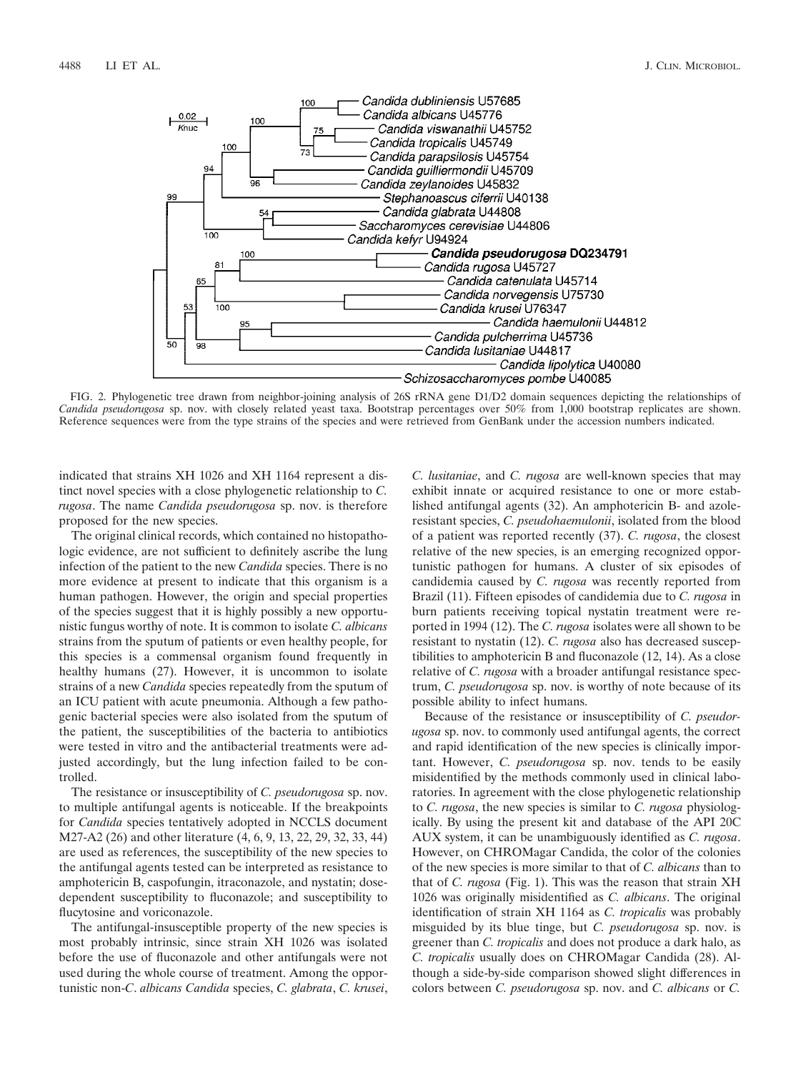

FIG. 2. Phylogenetic tree drawn from neighbor-joining analysis of 26S rRNA gene D1/D2 domain sequences depicting the relationships of *Candida pseudorugosa* sp. nov. with closely related yeast taxa. Bootstrap percentages over 50% from 1,000 bootstrap replicates are shown. Reference sequences were from the type strains of the species and were retrieved from GenBank under the accession numbers indicated.

indicated that strains XH 1026 and XH 1164 represent a distinct novel species with a close phylogenetic relationship to *C. rugosa*. The name *Candida pseudorugosa* sp. nov. is therefore proposed for the new species.

The original clinical records, which contained no histopathologic evidence, are not sufficient to definitely ascribe the lung infection of the patient to the new *Candida* species. There is no more evidence at present to indicate that this organism is a human pathogen. However, the origin and special properties of the species suggest that it is highly possibly a new opportunistic fungus worthy of note. It is common to isolate *C. albicans* strains from the sputum of patients or even healthy people, for this species is a commensal organism found frequently in healthy humans (27). However, it is uncommon to isolate strains of a new *Candida* species repeatedly from the sputum of an ICU patient with acute pneumonia. Although a few pathogenic bacterial species were also isolated from the sputum of the patient, the susceptibilities of the bacteria to antibiotics were tested in vitro and the antibacterial treatments were adjusted accordingly, but the lung infection failed to be controlled.

The resistance or insusceptibility of *C. pseudorugosa* sp. nov. to multiple antifungal agents is noticeable. If the breakpoints for *Candida* species tentatively adopted in NCCLS document M27-A2 (26) and other literature (4, 6, 9, 13, 22, 29, 32, 33, 44) are used as references, the susceptibility of the new species to the antifungal agents tested can be interpreted as resistance to amphotericin B, caspofungin, itraconazole, and nystatin; dosedependent susceptibility to fluconazole; and susceptibility to flucytosine and voriconazole.

The antifungal-insusceptible property of the new species is most probably intrinsic, since strain XH 1026 was isolated before the use of fluconazole and other antifungals were not used during the whole course of treatment. Among the opportunistic non-*C*. *albicans Candida* species, *C. glabrata*, *C. krusei*, *C. lusitaniae*, and *C. rugosa* are well-known species that may exhibit innate or acquired resistance to one or more established antifungal agents (32). An amphotericin B- and azoleresistant species, *C. pseudohaemulonii*, isolated from the blood of a patient was reported recently (37). *C. rugosa*, the closest relative of the new species, is an emerging recognized opportunistic pathogen for humans. A cluster of six episodes of candidemia caused by *C. rugosa* was recently reported from Brazil (11). Fifteen episodes of candidemia due to *C. rugosa* in burn patients receiving topical nystatin treatment were reported in 1994 (12). The *C. rugosa* isolates were all shown to be resistant to nystatin (12). *C. rugosa* also has decreased susceptibilities to amphotericin B and fluconazole (12, 14). As a close relative of *C. rugosa* with a broader antifungal resistance spectrum, *C. pseudorugosa* sp. nov. is worthy of note because of its possible ability to infect humans.

Because of the resistance or insusceptibility of *C. pseudorugosa* sp. nov. to commonly used antifungal agents, the correct and rapid identification of the new species is clinically important. However, *C. pseudorugosa* sp. nov. tends to be easily misidentified by the methods commonly used in clinical laboratories. In agreement with the close phylogenetic relationship to *C. rugosa*, the new species is similar to *C. rugosa* physiologically. By using the present kit and database of the API 20C AUX system, it can be unambiguously identified as *C. rugosa*. However, on CHROMagar Candida, the color of the colonies of the new species is more similar to that of *C. albicans* than to that of *C. rugosa* (Fig. 1). This was the reason that strain XH 1026 was originally misidentified as *C. albicans*. The original identification of strain XH 1164 as *C. tropicalis* was probably misguided by its blue tinge, but *C. pseudorugosa* sp. nov. is greener than *C. tropicalis* and does not produce a dark halo, as *C. tropicalis* usually does on CHROMagar Candida (28). Although a side-by-side comparison showed slight differences in colors between *C. pseudorugosa* sp. nov. and *C. albicans* or *C.*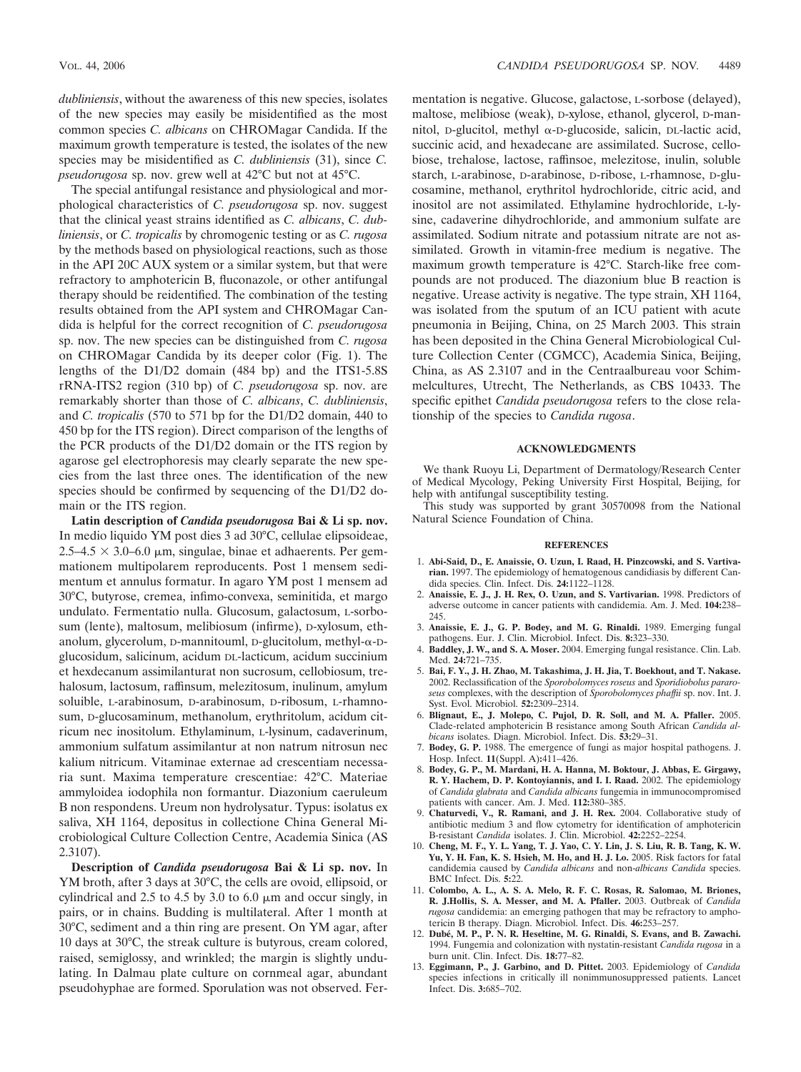*dubliniensis*, without the awareness of this new species, isolates of the new species may easily be misidentified as the most common species *C. albicans* on CHROMagar Candida. If the maximum growth temperature is tested, the isolates of the new species may be misidentified as *C. dubliniensis* (31), since *C. pseudorugosa* sp. nov. grew well at 42°C but not at 45°C.

The special antifungal resistance and physiological and morphological characteristics of *C. pseudorugosa* sp. nov. suggest that the clinical yeast strains identified as *C. albicans*, *C. dubliniensis*, or *C. tropicalis* by chromogenic testing or as *C. rugosa* by the methods based on physiological reactions, such as those in the API 20C AUX system or a similar system, but that were refractory to amphotericin B, fluconazole, or other antifungal therapy should be reidentified. The combination of the testing results obtained from the API system and CHROMagar Candida is helpful for the correct recognition of *C. pseudorugosa* sp. nov. The new species can be distinguished from *C. rugosa* on CHROMagar Candida by its deeper color (Fig. 1). The lengths of the D1/D2 domain (484 bp) and the ITS1-5.8S rRNA-ITS2 region (310 bp) of *C. pseudorugosa* sp. nov. are remarkably shorter than those of *C. albicans*, *C. dubliniensis*, and *C. tropicalis* (570 to 571 bp for the D1/D2 domain, 440 to 450 bp for the ITS region). Direct comparison of the lengths of the PCR products of the D1/D2 domain or the ITS region by agarose gel electrophoresis may clearly separate the new species from the last three ones. The identification of the new species should be confirmed by sequencing of the D1/D2 domain or the ITS region.

**Latin description of** *Candida pseudorugosa* **Bai & Li sp. nov.** In medio liquido YM post dies 3 ad 30°C, cellulae elipsoideae,  $2.5-4.5 \times 3.0-6.0 \mu m$ , singulae, binae et adhaerents. Per gemmationem multipolarem reproducents. Post 1 mensem sedimentum et annulus formatur. In agaro YM post 1 mensem ad 30°C, butyrose, cremea, infimo-convexa, seminitida, et margo undulato. Fermentatio nulla. Glucosum, galactosum, L-sorbosum (lente), maltosum, melibiosum (infirme), D-xylosum, ethanolum, glycerolum,  $D$ -mannitouml,  $D$ -glucitolum, methyl- $\alpha$ - $D$ glucosidum, salicinum, acidum DL-lacticum, acidum succinium et hexdecanum assimilanturat non sucrosum, cellobiosum, trehalosum, lactosum, raffinsum, melezitosum, inulinum, amylum soluible, L-arabinosum, D-arabinosum, D-ribosum, L-rhamnosum, D-glucosaminum, methanolum, erythritolum, acidum citricum nec inositolum. Ethylaminum, L-lysinum, cadaverinum, ammonium sulfatum assimilantur at non natrum nitrosun nec kalium nitricum. Vitaminae externae ad crescentiam necessaria sunt. Maxima temperature crescentiae: 42°C. Materiae ammyloidea iodophila non formantur. Diazonium caeruleum B non respondens. Ureum non hydrolysatur. Typus: isolatus ex saliva, XH 1164, depositus in collectione China General Microbiological Culture Collection Centre, Academia Sinica (AS 2.3107).

**Description of** *Candida pseudorugosa* **Bai & Li sp. nov.** In YM broth, after 3 days at 30°C, the cells are ovoid, ellipsoid, or cylindrical and 2.5 to 4.5 by 3.0 to 6.0  $\mu$ m and occur singly, in pairs, or in chains. Budding is multilateral. After 1 month at 30°C, sediment and a thin ring are present. On YM agar, after 10 days at 30°C, the streak culture is butyrous, cream colored, raised, semiglossy, and wrinkled; the margin is slightly undulating. In Dalmau plate culture on cornmeal agar, abundant pseudohyphae are formed. Sporulation was not observed. Fermentation is negative. Glucose, galactose, L-sorbose (delayed), maltose, melibiose (weak), D-xylose, ethanol, glycerol, D-mannitol, D-glucitol, methyl  $\alpha$ -D-glucoside, salicin, DL-lactic acid, succinic acid, and hexadecane are assimilated. Sucrose, cellobiose, trehalose, lactose, raffinsoe, melezitose, inulin, soluble starch, L-arabinose, D-arabinose, D-ribose, L-rhamnose, D-glucosamine, methanol, erythritol hydrochloride, citric acid, and inositol are not assimilated. Ethylamine hydrochloride, L-lysine, cadaverine dihydrochloride, and ammonium sulfate are assimilated. Sodium nitrate and potassium nitrate are not assimilated. Growth in vitamin-free medium is negative. The maximum growth temperature is 42°C. Starch-like free compounds are not produced. The diazonium blue B reaction is negative. Urease activity is negative. The type strain, XH 1164, was isolated from the sputum of an ICU patient with acute pneumonia in Beijing, China, on 25 March 2003. This strain has been deposited in the China General Microbiological Culture Collection Center (CGMCC), Academia Sinica, Beijing, China, as AS 2.3107 and in the Centraalbureau voor Schimmelcultures, Utrecht, The Netherlands, as CBS 10433. The specific epithet *Candida pseudorugosa* refers to the close relationship of the species to *Candida rugosa*.

### **ACKNOWLEDGMENTS**

We thank Ruoyu Li, Department of Dermatology/Research Center of Medical Mycology, Peking University First Hospital, Beijing, for help with antifungal susceptibility testing.

This study was supported by grant 30570098 from the National Natural Science Foundation of China.

#### **REFERENCES**

- 1. **Abi-Said, D., E. Anaissie, O. Uzun, I. Raad, H. Pinzcowski, and S. Vartivarian.** 1997. The epidemiology of hematogenous candidiasis by different Candida species. Clin. Infect. Dis. **24:**1122–1128.
- 2. **Anaissie, E. J., J. H. Rex, O. Uzun, and S. Vartivarian.** 1998. Predictors of adverse outcome in cancer patients with candidemia. Am. J. Med. **104:**238– 245.
- 3. **Anaissie, E. J., G. P. Bodey, and M. G. Rinaldi.** 1989. Emerging fungal pathogens. Eur. J. Clin. Microbiol. Infect. Dis. **8:**323–330.
- 4. **Baddley, J. W., and S. A. Moser.** 2004. Emerging fungal resistance. Clin. Lab. Med. **24:**721–735.
- 5. **Bai, F. Y., J. H. Zhao, M. Takashima, J. H. Jia, T. Boekhout, and T. Nakase.** 2002. Reclassification of the *Sporobolomyces roseus* and *Sporidiobolus pararoseus* complexes, with the description of *Sporobolomyces phaffii* sp. nov. Int. J. Syst. Evol. Microbiol. **52:**2309–2314.
- 6. **Blignaut, E., J. Molepo, C. Pujol, D. R. Soll, and M. A. Pfaller.** 2005. Clade-related amphotericin B resistance among South African *Candida albicans* isolates. Diagn. Microbiol. Infect. Dis. **53:**29–31.
- 7. **Bodey, G. P.** 1988. The emergence of fungi as major hospital pathogens. J. Hosp. Infect. **11**(Suppl. A)**:**411–426.
- 8. **Bodey, G. P., M. Mardani, H. A. Hanna, M. Boktour, J. Abbas, E. Girgawy, R. Y. Hachem, D. P. Kontoyiannis, and I. I. Raad.** 2002. The epidemiology of *Candida glabrata* and *Candida albicans* fungemia in immunocompromised patients with cancer. Am. J. Med. **112:**380–385.
- 9. **Chaturvedi, V., R. Ramani, and J. H. Rex.** 2004. Collaborative study of antibiotic medium 3 and flow cytometry for identification of amphotericin B-resistant *Candida* isolates. J. Clin. Microbiol. **42:**2252–2254.
- 10. **Cheng, M. F., Y. L. Yang, T. J. Yao, C. Y. Lin, J. S. Liu, R. B. Tang, K. W. Yu, Y. H. Fan, K. S. Hsieh, M. Ho, and H. J. Lo.** 2005. Risk factors for fatal candidemia caused by *Candida albicans* and non-*albicans Candida* species. BMC Infect. Dis. **5:**22.
- 11. **Colombo, A. L., A. S. A. Melo, R. F. C. Rosas, R. Salomao, M. Briones, R. J.Hollis, S. A. Messer, and M. A. Pfaller.** 2003. Outbreak of *Candida rugosa* candidemia: an emerging pathogen that may be refractory to amphotericin B therapy. Diagn. Microbiol. Infect. Dis. **46:**253–257.
- 12. **Dube´, M. P., P. N. R. Heseltine, M. G. Rinaldi, S. Evans, and B. Zawachi.** 1994. Fungemia and colonization with nystatin-resistant *Candida rugosa* in a burn unit. Clin. Infect. Dis. **18:**77–82.
- 13. **Eggimann, P., J. Garbino, and D. Pittet.** 2003. Epidemiology of *Candida* species infections in critically ill nonimmunosuppressed patients. Lancet Infect. Dis. **3:**685–702.